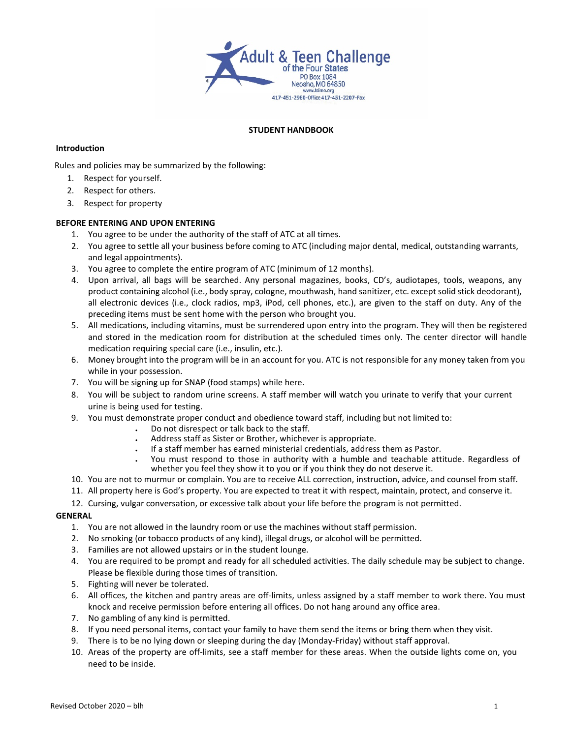

## **STUDENT HANDBOOK**

## **Introduction**

Rules and policies may be summarized by the following:

- 1. Respect for yourself.
- 2. Respect for others.
- 3. Respect for property

# **BEFORE ENTERING AND UPON ENTERING**

- 1. You agree to be under the authority of the staff of ATC at all times.
- 2. You agree to settle all your business before coming to ATC (including major dental, medical, outstanding warrants, and legal appointments).
- 3. You agree to complete the entire program of ATC (minimum of 12 months).
- 4. Upon arrival, all bags will be searched. Any personal magazines, books, CD's, audiotapes, tools, weapons, any product containing alcohol (i.e., body spray, cologne, mouthwash, hand sanitizer, etc. except solid stick deodorant), all electronic devices (i.e., clock radios, mp3, iPod, cell phones, etc.), are given to the staff on duty. Any of the preceding items must be sent home with the person who brought you.
- 5. All medications, including vitamins, must be surrendered upon entry into the program. They will then be registered and stored in the medication room for distribution at the scheduled times only. The center director will handle medication requiring special care (i.e., insulin, etc.).
- 6. Money brought into the program will be in an account for you. ATC is not responsible for any money taken from you while in your possession.
- 7. You will be signing up for SNAP (food stamps) while here.
- 8. You will be subject to random urine screens. A staff member will watch you urinate to verify that your current urine is being used for testing.
- 9. You must demonstrate proper conduct and obedience toward staff, including but not limited to:
	- Do not disrespect or talk back to the staff.
	- Address staff as Sister or Brother, whichever is appropriate.
	- If a staff member has earned ministerial credentials, address them as Pastor.
	- You must respond to those in authority with a humble and teachable attitude. Regardless of whether you feel they show it to you or if you think they do not deserve it.
- 10. You are not to murmur or complain. You are to receive ALL correction, instruction, advice, and counsel from staff.
- 11. All property here is God's property. You are expected to treat it with respect, maintain, protect, and conserve it.
- 12. Cursing, vulgar conversation, or excessive talk about your life before the program is not permitted.

### **GENERAL**

- 1. You are not allowed in the laundry room or use the machines without staff permission.
- 2. No smoking (or tobacco products of any kind), illegal drugs, or alcohol will be permitted.
- 3. Families are not allowed upstairs or in the student lounge.
- 4. You are required to be prompt and ready for all scheduled activities. The daily schedule may be subject to change. Please be flexible during those times of transition.
- 5. Fighting will never be tolerated.
- 6. All offices, the kitchen and pantry areas are off-limits, unless assigned by a staff member to work there. You must knock and receive permission before entering all offices. Do not hang around any office area.
- 7. No gambling of any kind is permitted.
- 8. If you need personal items, contact your family to have them send the items or bring them when they visit.
- 9. There is to be no lying down or sleeping during the day (Monday-Friday) without staff approval.
- 10. Areas of the property are off-limits, see a staff member for these areas. When the outside lights come on, you need to be inside.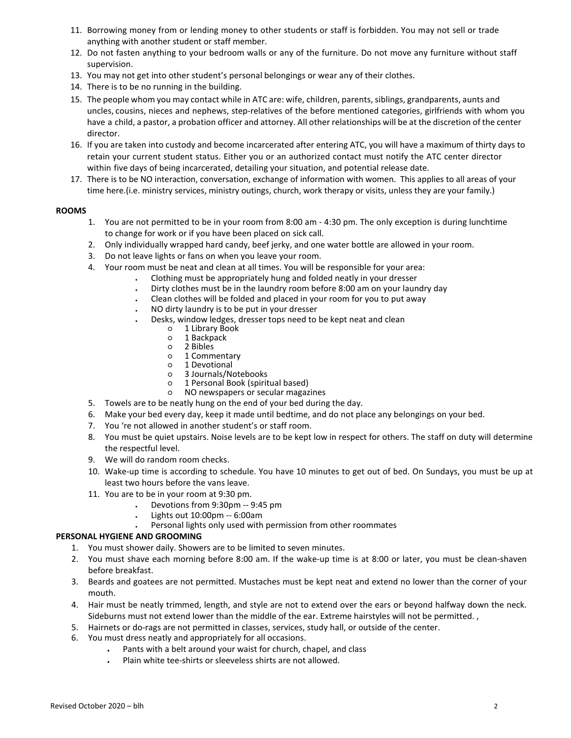- 11. Borrowing money from or lending money to other students or staff is forbidden. You may not sell or trade anything with another student or staff member.
- 12. Do not fasten anything to your bedroom walls or any of the furniture. Do not move any furniture without staff supervision.
- 13. You may not get into other student's personal belongings or wear any of their clothes.
- 14. There is to be no running in the building.
- 15. The people whom you may contact while in ATC are: wife, children, parents, siblings, grandparents, aunts and uncles, cousins, nieces and nephews, step-relatives of the before mentioned categories, girlfriends with whom you have a child, a pastor, a probation officer and attorney. All other relationships will be at the discretion of the center director.
- 16. If you are taken into custody and become incarcerated after entering ATC, you will have a maximum of thirty days to retain your current student status. Either you or an authorized contact must notify the ATC center director within five days of being incarcerated, detailing your situation, and potential release date.
- 17. There is to be NO interaction, conversation, exchange of information with women. This applies to all areas of your time here.(i.e. ministry services, ministry outings, church, work therapy or visits, unless they are your family.)

# **ROOMS**

- 1. You are not permitted to be in your room from 8:00 am 4:30 pm. The only exception is during lunchtime to change for work or if you have been placed on sick call.
- 2. Only individually wrapped hard candy, beef jerky, and one water bottle are allowed in your room.
- 3. Do not leave lights or fans on when you leave your room.
- 4. Your room must be neat and clean at all times. You will be responsible for your area:
	- ⠄ Clothing must be appropriately hung and folded neatly in your dresser
	- ⠄ Dirty clothes must be in the laundry room before 8:00 am on your laundry day
	- Clean clothes will be folded and placed in your room for you to put away
	- ⠄ NO dirty laundry is to be put in your dresser
	- Desks, window ledges, dresser tops need to be kept neat and clean
		- 1 Library Book<br>○ 1 Backpack
		- o 1 Backpack<br>o 2 Bibles
		- 2 Bibles
		- o 1 Commentary<br>
		o 1 Devotional
		- o 1 Devotional<br>o 3 Journals/No
		- 3 Journals/Notebooks
		- 1 Personal Book (spiritual based) ○ NO newspapers or secular magazines
- 5. Towels are to be neatly hung on the end of your bed during the day.
- 6. Make your bed every day, keep it made until bedtime, and do not place any belongings on your bed.
- 7. You 're not allowed in another student's or staff room.
- 8. You must be quiet upstairs. Noise levels are to be kept low in respect for others. The staff on duty will determine the respectful level.
- 9. We will do random room checks.
- 10. Wake-up time is according to schedule. You have 10 minutes to get out of bed. On Sundays, you must be up at least two hours before the vans leave.
- 11. You are to be in your room at 9:30 pm.
	- ⠄ Devotions from 9:30pm -- 9:45 pm
	- ⠄ Lights out 10:00pm -- 6:00am
	- Personal lights only used with permission from other roommates

# **PERSONAL HYGIENE AND GROOMING**

- 1. You must shower daily. Showers are to be limited to seven minutes.
- 2. You must shave each morning before 8:00 am. If the wake-up time is at 8:00 or later, you must be clean-shaven before breakfast.
- 3. Beards and goatees are not permitted. Mustaches must be kept neat and extend no lower than the corner of your mouth.
- 4. Hair must be neatly trimmed, length, and style are not to extend over the ears or beyond halfway down the neck. Sideburns must not extend lower than the middle of the ear. Extreme hairstyles will not be permitted. ,
- 5. Hairnets or do-rags are not permitted in classes, services, study hall, or outside of the center.
- 6. You must dress neatly and appropriately for all occasions.
	- Pants with a belt around your waist for church, chapel, and class
	- Plain white tee-shirts or sleeveless shirts are not allowed.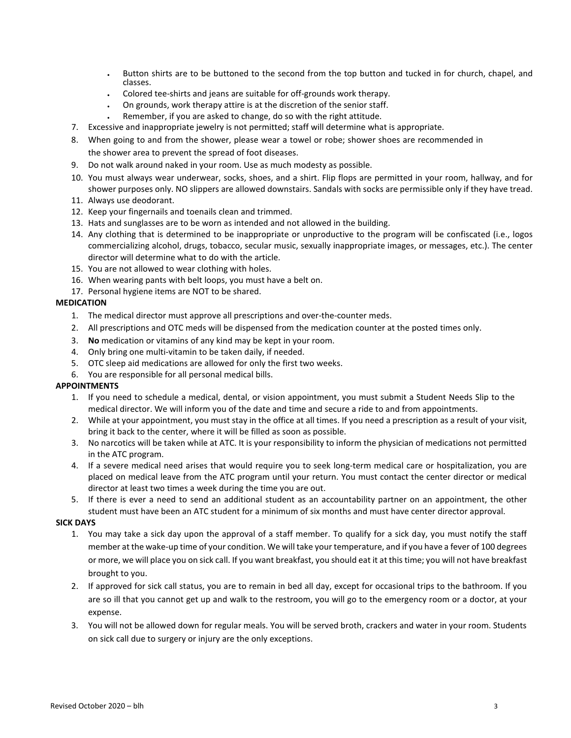- Button shirts are to be buttoned to the second from the top button and tucked in for church, chapel, and classes.
- ⠄ Colored tee-shirts and jeans are suitable for off-grounds work therapy.
- On grounds, work therapy attire is at the discretion of the senior staff.
- Remember, if you are asked to change, do so with the right attitude.
- 7. Excessive and inappropriate jewelry is not permitted; staff will determine what is appropriate.
- 8. When going to and from the shower, please wear a towel or robe; shower shoes are recommended in
	- the shower area to prevent the spread of foot diseases.
- 9. Do not walk around naked in your room. Use as much modesty as possible.
- 10. You must always wear underwear, socks, shoes, and a shirt. Flip flops are permitted in your room, hallway, and for shower purposes only. NO slippers are allowed downstairs. Sandals with socks are permissible only if they have tread.
- 11. Always use deodorant.
- 12. Keep your fingernails and toenails clean and trimmed.
- 13. Hats and sunglasses are to be worn as intended and not allowed in the building.
- 14. Any clothing that is determined to be inappropriate or unproductive to the program will be confiscated (i.e., logos commercializing alcohol, drugs, tobacco, secular music, sexually inappropriate images, or messages, etc.). The center director will determine what to do with the article.
- 15. You are not allowed to wear clothing with holes.
- 16. When wearing pants with belt loops, you must have a belt on.
- 17. Personal hygiene items are NOT to be shared.

# **MEDICATION**

- 1. The medical director must approve all prescriptions and over-the-counter meds.
- 2. All prescriptions and OTC meds will be dispensed from the medication counter at the posted times only.
- 3. **No** medication or vitamins of any kind may be kept in your room.
- 4. Only bring one multi-vitamin to be taken daily, if needed.
- 5. OTC sleep aid medications are allowed for only the first two weeks.
- 6. You are responsible for all personal medical bills.

### **APPOINTMENTS**

- 1. If you need to schedule a medical, dental, or vision appointment, you must submit a Student Needs Slip to the medical director. We will inform you of the date and time and secure a ride to and from appointments.
- 2. While at your appointment, you must stay in the office at all times. If you need a prescription as a result of your visit, bring it back to the center, where it will be filled as soon as possible.
- 3. No narcotics will be taken while at ATC. It is your responsibility to inform the physician of medications not permitted in the ATC program.
- 4. If a severe medical need arises that would require you to seek long-term medical care or hospitalization, you are placed on medical leave from the ATC program until your return. You must contact the center director or medical director at least two times a week during the time you are out.
- 5. If there is ever a need to send an additional student as an accountability partner on an appointment, the other student must have been an ATC student for a minimum of six months and must have center director approval.

### **SICK DAYS**

- 1. You may take a sick day upon the approval of a staff member. To qualify for a sick day, you must notify the staff member at the wake-up time of your condition. We will take your temperature, and if you have a fever of 100 degrees or more, we will place you on sick call. If you want breakfast, you should eat it at this time; you will not have breakfast brought to you.
- 2. If approved for sick call status, you are to remain in bed all day, except for occasional trips to the bathroom. If you are so ill that you cannot get up and walk to the restroom, you will go to the emergency room or a doctor, at your expense.
- 3. You will not be allowed down for regular meals. You will be served broth, crackers and water in your room. Students on sick call due to surgery or injury are the only exceptions.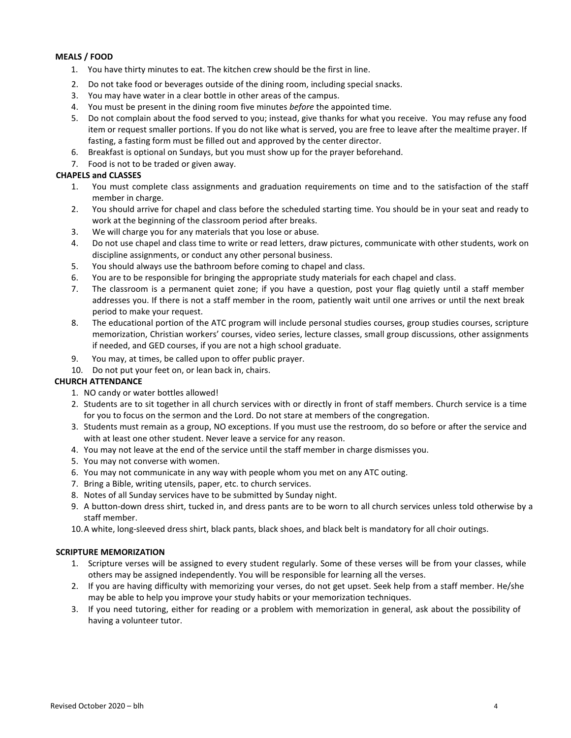# **MEALS / FOOD**

- 1. You have thirty minutes to eat. The kitchen crew should be the first in line.
- 2. Do not take food or beverages outside of the dining room, including special snacks.
- 3. You may have water in a clear bottle in other areas of the campus.
- 4. You must be present in the dining room five minutes *before* the appointed time.
- 5. Do not complain about the food served to you; instead, give thanks for what you receive. You may refuse any food item or request smaller portions. If you do not like what is served, you are free to leave after the mealtime prayer. If fasting, a fasting form must be filled out and approved by the center director.
- 6. Breakfast is optional on Sundays, but you must show up for the prayer beforehand.
- 7. Food is not to be traded or given away.

## **CHAPELS and CLASSES**

- 1. You must complete class assignments and graduation requirements on time and to the satisfaction of the staff member in charge.
- 2. You should arrive for chapel and class before the scheduled starting time. You should be in your seat and ready to work at the beginning of the classroom period after breaks.
- 3. We will charge you for any materials that you lose or abuse.
- 4. Do not use chapel and class time to write or read letters, draw pictures, communicate with other students, work on discipline assignments, or conduct any other personal business.
- 5. You should always use the bathroom before coming to chapel and class.
- 6. You are to be responsible for bringing the appropriate study materials for each chapel and class.
- 7. The classroom is a permanent quiet zone; if you have a question, post your flag quietly until a staff member addresses you. If there is not a staff member in the room, patiently wait until one arrives or until the next break period to make your request.
- 8. The educational portion of the ATC program will include personal studies courses, group studies courses, scripture memorization, Christian workers' courses, video series, lecture classes, small group discussions, other assignments if needed, and GED courses, if you are not a high school graduate.
- 9. You may, at times, be called upon to offer public prayer.
- 10. Do not put your feet on, or lean back in, chairs.

# **CHURCH ATTENDANCE**

- 1. NO candy or water bottles allowed!
- 2. Students are to sit together in all church services with or directly in front of staff members. Church service is a time for you to focus on the sermon and the Lord. Do not stare at members of the congregation.
- 3. Students must remain as a group, NO exceptions. If you must use the restroom, do so before or after the service and with at least one other student. Never leave a service for any reason.
- 4. You may not leave at the end of the service until the staff member in charge dismisses you.
- 5. You may not converse with women.
- 6. You may not communicate in any way with people whom you met on any ATC outing.
- 7. Bring a Bible, writing utensils, paper, etc. to church services.
- 8. Notes of all Sunday services have to be submitted by Sunday night.
- 9. A button-down dress shirt, tucked in, and dress pants are to be worn to all church services unless told otherwise by a staff member.
- 10.A white, long-sleeved dress shirt, black pants, black shoes, and black belt is mandatory for all choir outings.

### **SCRIPTURE MEMORIZATION**

- 1. Scripture verses will be assigned to every student regularly. Some of these verses will be from your classes, while others may be assigned independently. You will be responsible for learning all the verses.
- 2. If you are having difficulty with memorizing your verses, do not get upset. Seek help from a staff member. He/she may be able to help you improve your study habits or your memorization techniques.
- 3. If you need tutoring, either for reading or a problem with memorization in general, ask about the possibility of having a volunteer tutor.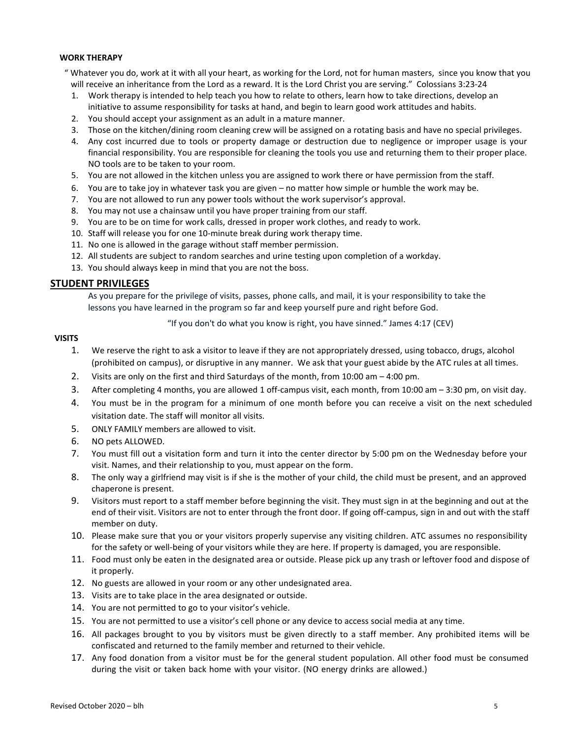### **WORK THERAPY**

- " Whatever you do, work at it with all your heart, as working for the Lord, not for human masters, since you know that you will receive an inheritance from the Lord as a reward. It is the Lord Christ you are serving." Colossians 3:23-24
	- 1. Work therapy is intended to help teach you how to relate to others, learn how to take directions, develop an initiative to assume responsibility for tasks at hand, and begin to learn good work attitudes and habits.
	- 2. You should accept your assignment as an adult in a mature manner.
	- 3. Those on the kitchen/dining room cleaning crew will be assigned on a rotating basis and have no special privileges.
	- 4. Any cost incurred due to tools or property damage or destruction due to negligence or improper usage is your financial responsibility. You are responsible for cleaning the tools you use and returning them to their proper place. NO tools are to be taken to your room.
- 5. You are not allowed in the kitchen unless you are assigned to work there or have permission from the staff.
- 6. You are to take joy in whatever task you are given no matter how simple or humble the work may be.
- 7. You are not allowed to run any power tools without the work supervisor's approval.
- 8. You may not use a chainsaw until you have proper training from our staff.
- 9. You are to be on time for work calls, dressed in proper work clothes, and ready to work.
- 10. Staff will release you for one 10-minute break during work therapy time.
- 11. No one is allowed in the garage without staff member permission.
- 12. All students are subject to random searches and urine testing upon completion of a workday.
- 13. You should always keep in mind that you are not the boss.

# **STUDENT PRIVILEGES**

As you prepare for the privilege of visits, passes, phone calls, and mail, it is your responsibility to take the lessons you have learned in the program so far and keep yourself pure and right before God.

"If you don't do what you know is right, you have sinned." James 4:17 (CEV)

# **VISITS**

- 1. We reserve the right to ask a visitor to leave if they are not appropriately dressed, using tobacco, drugs, alcohol (prohibited on campus), or disruptive in any manner. We ask that your guest abide by the ATC rules at all times.
- 2. Visits are only on the first and third Saturdays of the month, from 10:00 am 4:00 pm.
- 3. After completing 4 months, you are allowed 1 off-campus visit, each month, from 10:00 am 3:30 pm, on visit day.
- 4. You must be in the program for a minimum of one month before you can receive a visit on the next scheduled visitation date. The staff will monitor all visits.
- 5. ONLY FAMILY members are allowed to visit.
- 6. NO pets ALLOWED.
- 7. You must fill out a visitation form and turn it into the center director by 5:00 pm on the Wednesday before your visit. Names, and their relationship to you, must appear on the form.
- 8. The only way a girlfriend may visit is if she is the mother of your child, the child must be present, and an approved chaperone is present.
- 9. Visitors must report to a staff member before beginning the visit. They must sign in at the beginning and out at the end of their visit. Visitors are not to enter through the front door. If going off-campus, sign in and out with the staff member on duty.
- 10. Please make sure that you or your visitors properly supervise any visiting children. ATC assumes no responsibility for the safety or well-being of your visitors while they are here. If property is damaged, you are responsible.
- 11. Food must only be eaten in the designated area or outside. Please pick up any trash or leftover food and dispose of it properly.
- 12. No guests are allowed in your room or any other undesignated area.
- 13. Visits are to take place in the area designated or outside.
- 14. You are not permitted to go to your visitor's vehicle.
- 15. You are not permitted to use a visitor's cell phone or any device to access social media at any time.
- 16. All packages brought to you by visitors must be given directly to a staff member. Any prohibited items will be confiscated and returned to the family member and returned to their vehicle.
- 17. Any food donation from a visitor must be for the general student population. All other food must be consumed during the visit or taken back home with your visitor. (NO energy drinks are allowed.)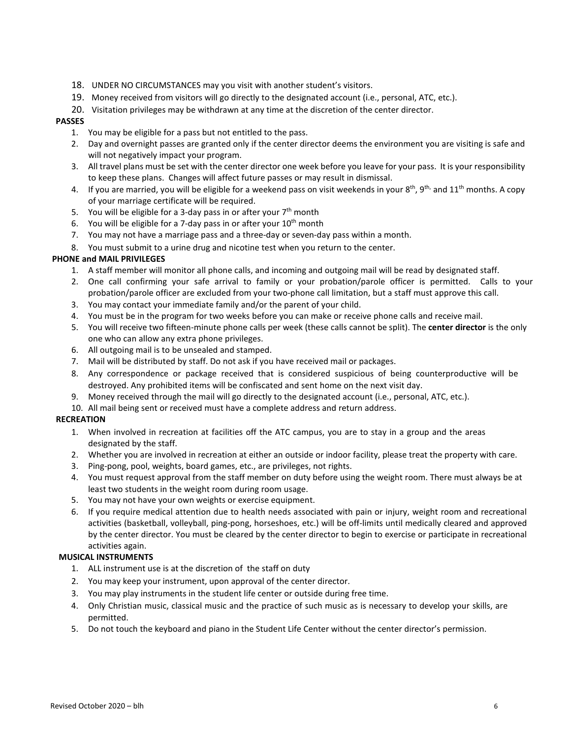- 18. UNDER NO CIRCUMSTANCES may you visit with another student's visitors.
- 19. Money received from visitors will go directly to the designated account (i.e., personal, ATC, etc.).
- 20. Visitation privileges may be withdrawn at any time at the discretion of the center director.

## **PASSES**

- 1. You may be eligible for a pass but not entitled to the pass.
- 2. Day and overnight passes are granted only if the center director deems the environment you are visiting is safe and will not negatively impact your program.
- 3. All travel plans must be set with the center director one week before you leave for your pass. It is your responsibility to keep these plans. Changes will affect future passes or may result in dismissal.
- 4. If you are married, you will be eligible for a weekend pass on visit weekends in your  $8^{th}$ ,  $9^{th}$ , and  $11^{th}$  months. A copy of your marriage certificate will be required.
- 5. You will be eligible for a 3-day pass in or after your  $7<sup>th</sup>$  month
- 6. You will be eligible for a 7-day pass in or after your  $10<sup>th</sup>$  month
- 7. You may not have a marriage pass and a three-day or seven-day pass within a month.
- 8. You must submit to a urine drug and nicotine test when you return to the center.

# **PHONE and MAIL PRIVILEGES**

- 1. A staff member will monitor all phone calls, and incoming and outgoing mail will be read by designated staff.
- 2. One call confirming your safe arrival to family or your probation/parole officer is permitted. Calls to your probation/parole officer are excluded from your two-phone call limitation, but a staff must approve this call.
- 3. You may contact your immediate family and/or the parent of your child.
- 4. You must be in the program for two weeks before you can make or receive phone calls and receive mail.
- 5. You will receive two fifteen-minute phone calls per week (these calls cannot be split). The **center director** is the only one who can allow any extra phone privileges.
- 6. All outgoing mail is to be unsealed and stamped.
- 7. Mail will be distributed by staff. Do not ask if you have received mail or packages.
- 8. Any correspondence or package received that is considered suspicious of being counterproductive will be destroyed. Any prohibited items will be confiscated and sent home on the next visit day.
- 9. Money received through the mail will go directly to the designated account (i.e., personal, ATC, etc.).
- 10. All mail being sent or received must have a complete address and return address.

# **RECREATION**

- 1. When involved in recreation at facilities off the ATC campus, you are to stay in a group and the areas designated by the staff.
- 2. Whether you are involved in recreation at either an outside or indoor facility, please treat the property with care.
- 3. Ping-pong, pool, weights, board games, etc., are privileges, not rights.
- 4. You must request approval from the staff member on duty before using the weight room. There must always be at least two students in the weight room during room usage.
- 5. You may not have your own weights or exercise equipment.
- 6. If you require medical attention due to health needs associated with pain or injury, weight room and recreational activities (basketball, volleyball, ping-pong, horseshoes, etc.) will be off-limits until medically cleared and approved by the center director. You must be cleared by the center director to begin to exercise or participate in recreational activities again.

### **MUSICAL INSTRUMENTS**

- 1. ALL instrument use is at the discretion of the staff on duty
- 2. You may keep your instrument, upon approval of the center director.
- 3. You may play instruments in the student life center or outside during free time.
- 4. Only Christian music, classical music and the practice of such music as is necessary to develop your skills, are permitted.
- 5. Do not touch the keyboard and piano in the Student Life Center without the center director's permission.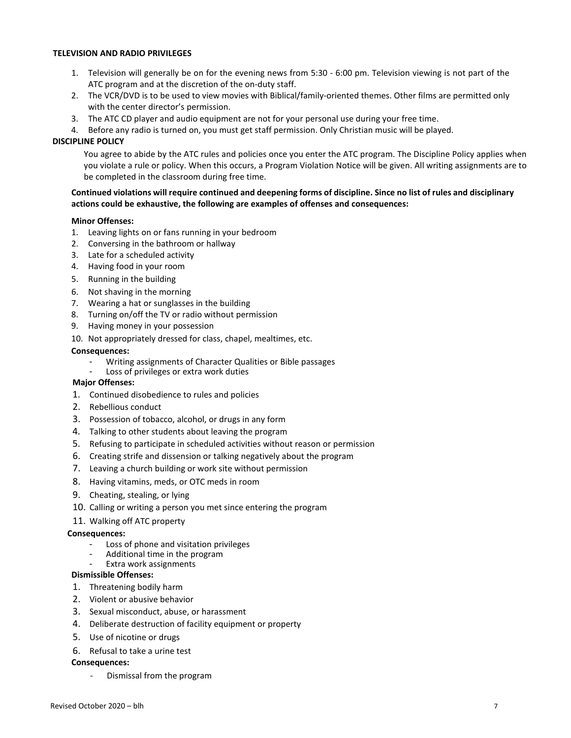### **TELEVISION AND RADIO PRIVILEGES**

- 1. Television will generally be on for the evening news from 5:30 6:00 pm. Television viewing is not part of the ATC program and at the discretion of the on-duty staff.
- 2. The VCR/DVD is to be used to view movies with Biblical/family-oriented themes. Other films are permitted only with the center director's permission.
- 3. The ATC CD player and audio equipment are not for your personal use during your free time.
- 4. Before any radio is turned on, you must get staff permission. Only Christian music will be played.

#### **DISCIPLINE POLICY**

You agree to abide by the ATC rules and policies once you enter the ATC program. The Discipline Policy applies when you violate a rule or policy. When this occurs, a Program Violation Notice will be given. All writing assignments are to be completed in the classroom during free time.

## **Continued violations will require continued and deepening forms of discipline. Since no list of rules and disciplinary actions could be exhaustive, the following are examples of offenses and consequences:**

#### **Minor Offenses:**

- 1. Leaving lights on or fans running in your bedroom
- 2. Conversing in the bathroom or hallway
- 3. Late for a scheduled activity
- 4. Having food in your room
- 5. Running in the building
- 6. Not shaving in the morning
- 7. Wearing a hat or sunglasses in the building
- 8. Turning on/off the TV or radio without permission
- 9. Having money in your possession
- 10. Not appropriately dressed for class, chapel, mealtimes, etc.

#### **Consequences:**

- Writing assignments of Character Qualities or Bible passages
- Loss of privileges or extra work duties

#### **Major Offenses:**

- 1. Continued disobedience to rules and policies
- 2. Rebellious conduct
- 3. Possession of tobacco, alcohol, or drugs in any form
- 4. Talking to other students about leaving the program
- 5. Refusing to participate in scheduled activities without reason or permission
- 6. Creating strife and dissension or talking negatively about the program
- 7. Leaving a church building or work site without permission
- 8. Having vitamins, meds, or OTC meds in room
- 9. Cheating, stealing, or lying
- 10. Calling or writing a person you met since entering the program

#### 11. Walking off ATC property

#### **Consequences:**

- Loss of phone and visitation privileges
- Additional time in the program
- Extra work assignments

# **Dismissible Offenses:**

- 1. Threatening bodily harm
- 2. Violent or abusive behavior
- 3. Sexual misconduct, abuse, or harassment
- 4. Deliberate destruction of facility equipment or property
- 5. Use of nicotine or drugs
- 6. Refusal to take a urine test

### **Consequences:**

- Dismissal from the program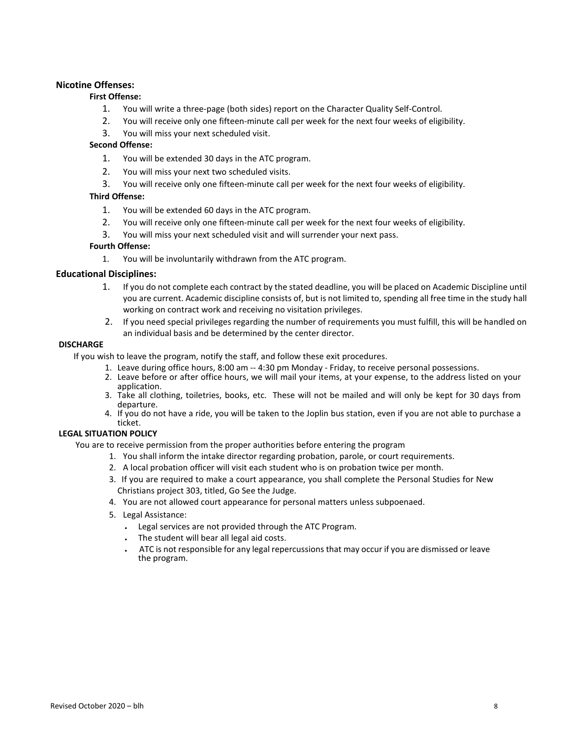# **Nicotine Offenses:**

# **First Offense:**

- 1. You will write a three-page (both sides) report on the Character Quality Self-Control.
- 2. You will receive only one fifteen-minute call per week for the next four weeks of eligibility.
- 3. You will miss your next scheduled visit.

## **Second Offense:**

- 1. You will be extended 30 days in the ATC program.
- 2. You will miss your next two scheduled visits.
- 3. You will receive only one fifteen-minute call per week for the next four weeks of eligibility.

## **Third Offense:**

- 1. You will be extended 60 days in the ATC program.
- 2. You will receive only one fifteen-minute call per week for the next four weeks of eligibility.
- 3. You will miss your next scheduled visit and will surrender your next pass.

## **Fourth Offense:**

1. You will be involuntarily withdrawn from the ATC program.

## **Educational Disciplines:**

- 1. If you do not complete each contract by the stated deadline, you will be placed on Academic Discipline until you are current. Academic discipline consists of, but is not limited to, spending all free time in the study hall working on contract work and receiving no visitation privileges.
- 2. If you need special privileges regarding the number of requirements you must fulfill, this will be handled on an individual basis and be determined by the center director.

## **DISCHARGE**

If you wish to leave the program, notify the staff, and follow these exit procedures.

- 1. Leave during office hours, 8:00 am -- 4:30 pm Monday Friday, to receive personal possessions.
- 2. Leave before or after office hours, we will mail your items, at your expense, to the address listed on your application.
- 3. Take all clothing, toiletries, books, etc. These will not be mailed and will only be kept for 30 days from departure.
- 4. If you do not have a ride, you will be taken to the Joplin bus station, even if you are not able to purchase a ticket.

# **LEGAL SITUATION POLICY**

You are to receive permission from the proper authorities before entering the program

- 1. You shall inform the intake director regarding probation, parole, or court requirements.
- 2. A local probation officer will visit each student who is on probation twice per month.
- 3. If you are required to make a court appearance, you shall complete the Personal Studies for New Christians project 303, titled, Go See the Judge.
- 4. You are not allowed court appearance for personal matters unless subpoenaed.
- 5. Legal Assistance:
	- ⠄ Legal services are not provided through the ATC Program.
	- . The student will bear all legal aid costs.
	- ⠄ ATC is not responsible for any legal repercussions that may occur if you are dismissed or leave the program.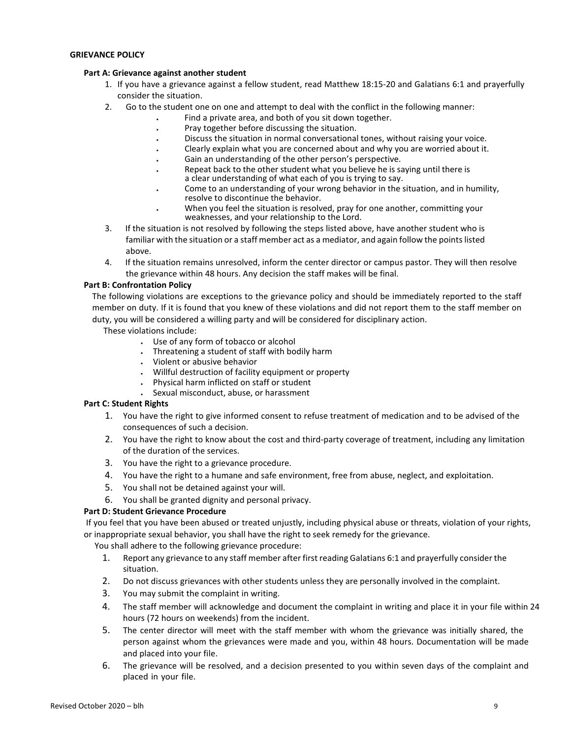### **GRIEVANCE POLICY**

### **Part A: Grievance against another student**

- 1. If you have a grievance against a fellow student, read Matthew 18:15-20 and Galatians 6:1 and prayerfully consider the situation.
- 2. Go to the student one on one and attempt to deal with the conflict in the following manner:
	- Find a private area, and both of you sit down together.
		- ⠄ Pray together before discussing the situation.
		- Discuss the situation in normal conversational tones, without raising your voice.
	- Clearly explain what you are concerned about and why you are worried about it.
		- Gain an understanding of the other person's perspective.
		- Repeat back to the other student what you believe he is saying until there is a clear understanding of what each of you is trying to say.
	- Come to an understanding of your wrong behavior in the situation, and in humility, resolve to discontinue the behavior.
	- When you feel the situation is resolved, pray for one another, committing your weaknesses, and your relationship to the Lord.
- 3. If the situation is not resolved by following the steps listed above, have another student who is familiar with the situation or a staff member act as a mediator, and again follow the points listed above.
- 4. If the situation remains unresolved, inform the center director or campus pastor. They will then resolve the grievance within 48 hours. Any decision the staff makes will be final.

### **Part B: Confrontation Policy**

The following violations are exceptions to the grievance policy and should be immediately reported to the staff member on duty. If it is found that you knew of these violations and did not report them to the staff member on duty, you will be considered a willing party and will be considered for disciplinary action.

These violations include:

- ⠄ Use of any form of tobacco or alcohol
- ⠄ Threatening a student of staff with bodily harm
- ⠄ Violent or abusive behavior
- ⠄ Willful destruction of facility equipment or property
- ⠄ Physical harm inflicted on staff or student
- ⠄ Sexual misconduct, abuse, or harassment

### **Part C: Student Rights**

- 1. You have the right to give informed consent to refuse treatment of medication and to be advised of the consequences of such a decision.
- 2. You have the right to know about the cost and third-party coverage of treatment, including any limitation of the duration of the services.
- 3. You have the right to a grievance procedure.
- 4. You have the right to a humane and safe environment, free from abuse, neglect, and exploitation.
- 5. You shall not be detained against your will.
- 6. You shall be granted dignity and personal privacy.

# **Part D: Student Grievance Procedure**

If you feel that you have been abused or treated unjustly, including physical abuse or threats, violation of your rights, or inappropriate sexual behavior, you shall have the right to seek remedy for the grievance.

You shall adhere to the following grievance procedure:

- 1. Report any grievance to any staff member after first reading Galatians 6:1 and prayerfully consider the situation.
- 2. Do not discuss grievances with other students unless they are personally involved in the complaint.
- 3. You may submit the complaint in writing.
- 4. The staff member will acknowledge and document the complaint in writing and place it in your file within 24 hours (72 hours on weekends) from the incident.
- 5. The center director will meet with the staff member with whom the grievance was initially shared, the person against whom the grievances were made and you, within 48 hours. Documentation will be made and placed into your file.
- 6. The grievance will be resolved, and a decision presented to you within seven days of the complaint and placed in your file.